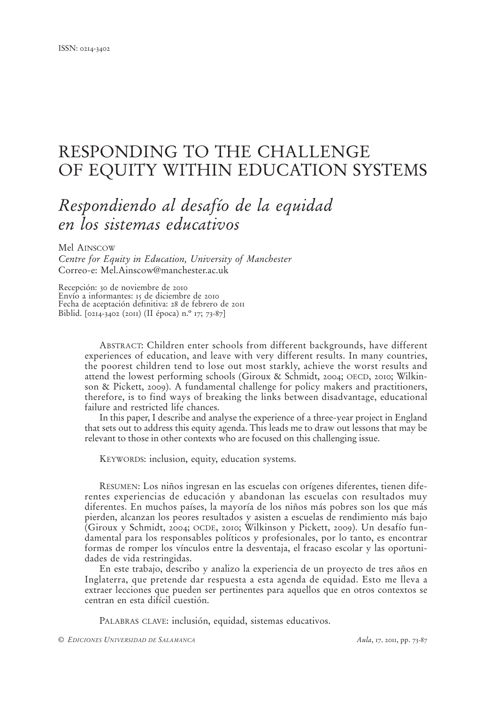# RESPONDING TO THE CHALLENGE OF EQUITY WITHIN EDUCATION SYSTEMS

# *Respondiendo al desafío de la equidad en los sistemas educativos*

Mel AINSCOW

*Centre for Equity in Education, University of Manchester* Correo-e: Mel.Ainscow@manchester.ac.uk

Recepción: 30 de noviembre de 2010 Envío a informantes: 15 de diciembre de 2010 Fecha de aceptación definitiva: 28 de febrero de 2011 Biblid. [0214-3402 (2011) (II época) n.º 17; 73-87]

> ABSTRACT: Children enter schools from different backgrounds, have different experiences of education, and leave with very different results. In many countries, the poorest children tend to lose out most starkly, achieve the worst results and attend the lowest performing schools (Giroux & Schmidt, 2004; OECD, 2010; Wilkinson & Pickett, 2009). A fundamental challenge for policy makers and practitioners, therefore, is to find ways of breaking the links between disadvantage, educational failure and restricted life chances.

> In this paper, I describe and analyse the experience of a three-year project in England that sets out to address this equity agenda. This leads me to draw out lessons that may be relevant to those in other contexts who are focused on this challenging issue.

KEYWORDS: inclusion, equity, education systems.

RESUMEN: Los niños ingresan en las escuelas con orígenes diferentes, tienen diferentes experiencias de educación y abandonan las escuelas con resultados muy diferentes. En muchos países, la mayoría de los niños más pobres son los que más pierden, alcanzan los peores resultados y asisten a escuelas de rendimiento más bajo (Giroux y Schmidt, 2004; OCDE, 2010; Wilkinson y Pickett, 2009). Un desafío fundamental para los responsables políticos y profesionales, por lo tanto, es encontrar formas de romper los vínculos entre la desventaja, el fracaso escolar y las oportunidades de vida restringidas.

En este trabajo, describo y analizo la experiencia de un proyecto de tres años en Inglaterra, que pretende dar respuesta a esta agenda de equidad. Esto me lleva a extraer lecciones que pueden ser pertinentes para aquellos que en otros contextos se centran en esta difícil cuestión.

PALABRAS CLAVE: inclusión, equidad, sistemas educativos.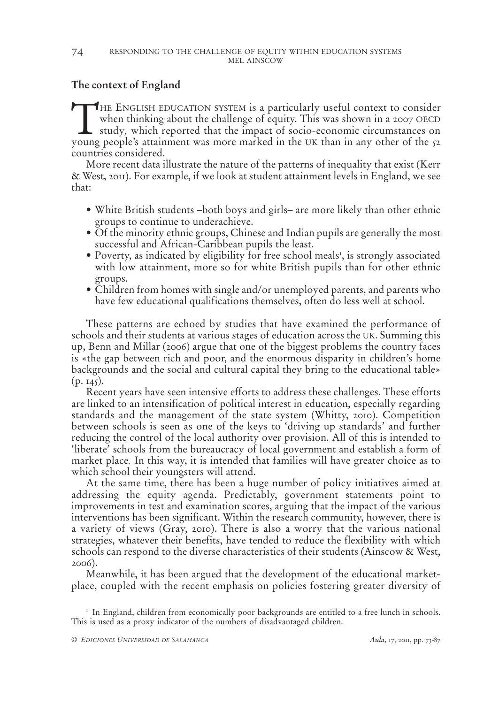## **The context of England**

THE ENGLISH EDUCATION SYSTEM is a particularly useful context to consider when thinking about the challenge of equity. This was shown in a 2007 OECD study*,* which reported that the impact of socio-economic circumstances on young people's attainment was more marked in the UK than in any other of the 52 countries considered.

More recent data illustrate the nature of the patterns of inequality that exist (Kerr & West, 2011). For example, if we look at student attainment levels in England, we see that:

- White British students –both boys and girls– are more likely than other ethnic groups to continue to underachieve.
- Of the minority ethnic groups, Chinese and Indian pupils are generally the most successful and African-Caribbean pupils the least.
- Poverty, as indicated by eligibility for free school meals<sup>1</sup>, is strongly associated with low attainment, more so for white British pupils than for other ethnic groups.
- Children from homes with single and/or unemployed parents, and parents who have few educational qualifications themselves, often do less well at school.

These patterns are echoed by studies that have examined the performance of schools and their students at various stages of education across the UK. Summing this up, Benn and Millar (2006) argue that one of the biggest problems the country faces is «the gap between rich and poor, and the enormous disparity in children's home backgrounds and the social and cultural capital they bring to the educational table»  $(p. 145)$ .

Recent years have seen intensive efforts to address these challenges. These efforts are linked to an intensification of political interest in education, especially regarding standards and the management of the state system (Whitty, 2010). Competition between schools is seen as one of the keys to 'driving up standards' and further reducing the control of the local authority over provision. All of this is intended to 'liberate' schools from the bureaucracy of local government and establish a form of market place*.* In this way, it is intended that families will have greater choice as to which school their youngsters will attend.

At the same time, there has been a huge number of policy initiatives aimed at addressing the equity agenda. Predictably, government statements point to improvements in test and examination scores, arguing that the impact of the various interventions has been significant. Within the research community, however, there is a variety of views (Gray, 2010). There is also a worry that the various national strategies, whatever their benefits, have tended to reduce the flexibility with which schools can respond to the diverse characteristics of their students (Ainscow & West, 2006).

Meanwhile, it has been argued that the development of the educational marketplace, coupled with the recent emphasis on policies fostering greater diversity of

<sup>1</sup> In England, children from economically poor backgrounds are entitled to a free lunch in schools. This is used as a proxy indicator of the numbers of disadvantaged children.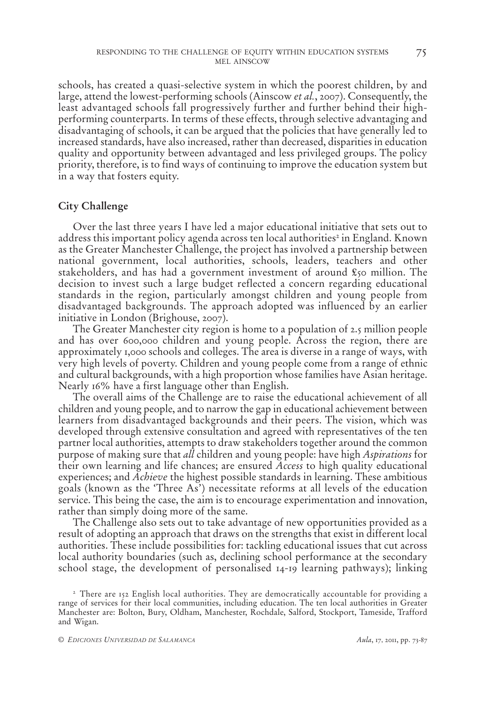schools, has created a quasi-selective system in which the poorest children, by and large, attend the lowest-performing schools (Ainscow *et al.*, 2007). Consequently, the least advantaged schools fall progressively further and further behind their highperforming counterparts. In terms of these effects, through selective advantaging and disadvantaging of schools, it can be argued that the policies that have generally led to increased standards, have also increased, rather than decreased, disparities in education quality and opportunity between advantaged and less privileged groups. The policy priority, therefore, is to find ways of continuing to improve the education system but in a way that fosters equity.

### **City Challenge**

Over the last three years I have led a major educational initiative that sets out to address this important policy agenda across ten local authorities<sup>2</sup> in England. Known as the Greater Manchester Challenge, the project has involved a partnership between national government, local authorities, schools, leaders, teachers and other stakeholders, and has had a government investment of around  $\epsilon$ <sub>50</sub> million. The decision to invest such a large budget reflected a concern regarding educational standards in the region, particularly amongst children and young people from disadvantaged backgrounds. The approach adopted was influenced by an earlier initiative in London (Brighouse, 2007).

The Greater Manchester city region is home to a population of 2.5 million people and has over 600,000 children and young people. Across the region, there are approximately 1,000 schools and colleges. The area is diverse in a range of ways, with very high levels of poverty. Children and young people come from a range of ethnic and cultural backgrounds, with a high proportion whose families have Asian heritage. Nearly 16% have a first language other than English.

The overall aims of the Challenge are to raise the educational achievement of all children and young people, and to narrow the gap in educational achievement between learners from disadvantaged backgrounds and their peers. The vision, which was developed through extensive consultation and agreed with representatives of the ten partner local authorities, attempts to draw stakeholders together around the common purpose of making sure that *all* children and young people: have high *Aspirations* for their own learning and life chances; are ensured *Access* to high quality educational experiences; and *Achieve* the highest possible standards in learning. These ambitious goals (known as the 'Three As') necessitate reforms at all levels of the education service. This being the case, the aim is to encourage experimentation and innovation, rather than simply doing more of the same.

The Challenge also sets out to take advantage of new opportunities provided as a result of adopting an approach that draws on the strengths that exist in different local authorities. These include possibilities for: tackling educational issues that cut across local authority boundaries (such as, declining school performance at the secondary school stage, the development of personalised 14-19 learning pathways); linking

<sup>&</sup>lt;sup>2</sup> There are 152 English local authorities. They are democratically accountable for providing a range of services for their local communities, including education. The ten local authorities in Greater Manchester are: Bolton, Bury, Oldham, Manchester, Rochdale, Salford, Stockport, Tameside, Trafford and Wigan.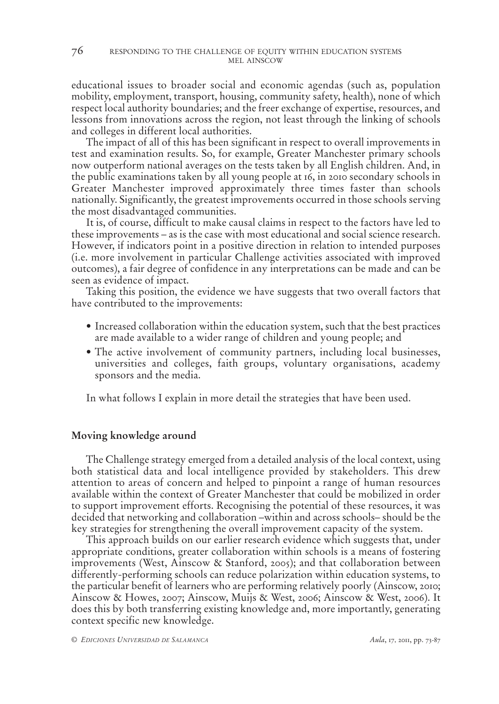educational issues to broader social and economic agendas (such as, population mobility, employment, transport, housing, community safety, health), none of which respect local authority boundaries; and the freer exchange of expertise, resources, and lessons from innovations across the region, not least through the linking of schools and colleges in different local authorities.

The impact of all of this has been significant in respect to overall improvements in test and examination results. So, for example, Greater Manchester primary schools now outperform national averages on the tests taken by all English children. And, in the public examinations taken by all young people at 16, in 2010 secondary schools in Greater Manchester improved approximately three times faster than schools nationally. Significantly, the greatest improvements occurred in those schools serving the most disadvantaged communities.

It is, of course, difficult to make causal claims in respect to the factors have led to these improvements – as is the case with most educational and social science research. However, if indicators point in a positive direction in relation to intended purposes (i.e. more involvement in particular Challenge activities associated with improved outcomes), a fair degree of confidence in any interpretations can be made and can be seen as evidence of impact.

Taking this position, the evidence we have suggests that two overall factors that have contributed to the improvements:

- Increased collaboration within the education system, such that the best practices are made available to a wider range of children and young people; and
- The active involvement of community partners, including local businesses, universities and colleges, faith groups, voluntary organisations, academy sponsors and the media.

In what follows I explain in more detail the strategies that have been used.

#### **Moving knowledge around**

The Challenge strategy emerged from a detailed analysis of the local context, using both statistical data and local intelligence provided by stakeholders. This drew attention to areas of concern and helped to pinpoint a range of human resources available within the context of Greater Manchester that could be mobilized in order to support improvement efforts. Recognising the potential of these resources, it was decided that networking and collaboration –within and across schools– should be the key strategies for strengthening the overall improvement capacity of the system.

This approach builds on our earlier research evidence which suggests that, under appropriate conditions, greater collaboration within schools is a means of fostering improvements (West, Ainscow & Stanford, 2005); and that collaboration between differently-performing schools can reduce polarization within education systems, to the particular benefit of learners who are performing relatively poorly (Ainscow, 2010; Ainscow & Howes, 2007; Ainscow, Muijs & West, 2006; Ainscow & West, 2006). It does this by both transferring existing knowledge and, more importantly, generating context specific new knowledge.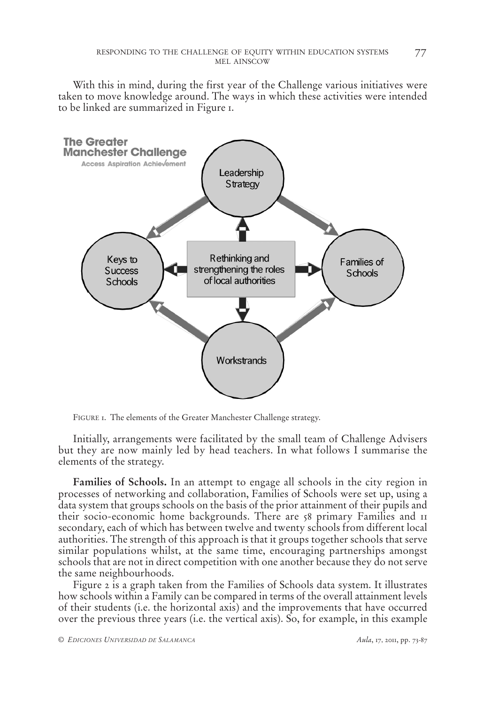With this in mind, during the first year of the Challenge various initiatives were taken to move knowledge around. The ways in which these activities were intended to be linked are summarized in Figure 1.



FIGURE 1. The elements of the Greater Manchester Challenge strategy.

Initially, arrangements were facilitated by the small team of Challenge Advisers but they are now mainly led by head teachers. In what follows I summarise the elements of the strategy.

**Families of Schools.** In an attempt to engage all schools in the city region in processes of networking and collaboration, Families of Schools were set up, using a data system that groups schools on the basis of the prior attainment of their pupils and their socio-economic home backgrounds. There are 58 primary Families and 11 secondary, each of which has between twelve and twenty schools from different local authorities. The strength of this approach is that it groups together schools that serve similar populations whilst, at the same time, encouraging partnerships amongst schools that are not in direct competition with one another because they do not serve the same neighbourhoods.

Figure 2 is a graph taken from the Families of Schools data system. It illustrates how schools within a Family can be compared in terms of the overall attainment levels of their students (i.e. the horizontal axis) and the improvements that have occurred over the previous three years (i.e. the vertical axis). So, for example, in this example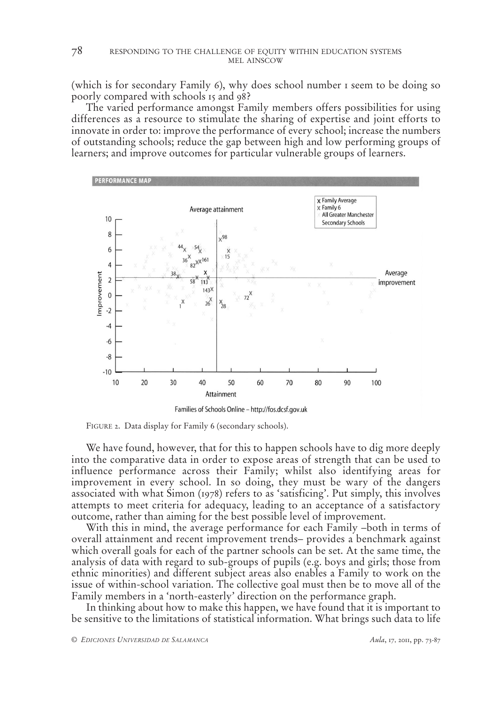(which is for secondary Family 6), why does school number 1 seem to be doing so poorly compared with schools 15 and 98?

The varied performance amongst Family members offers possibilities for using differences as a resource to stimulate the sharing of expertise and joint efforts to innovate in order to: improve the performance of every school; increase the numbers of outstanding schools; reduce the gap between high and low performing groups of learners; and improve outcomes for particular vulnerable groups of learners.



FIGURE 2. Data display for Family 6 (secondary schools).

We have found, however, that for this to happen schools have to dig more deeply into the comparative data in order to expose areas of strength that can be used to influence performance across their Family; whilst also identifying areas for improvement in every school. In so doing, they must be wary of the dangers associated with what Simon (1978) refers to as 'satisficing'. Put simply, this involves attempts to meet criteria for adequacy, leading to an acceptance of a satisfactory outcome, rather than aiming for the best possible level of improvement.

With this in mind, the average performance for each Family –both in terms of overall attainment and recent improvement trends– provides a benchmark against which overall goals for each of the partner schools can be set. At the same time, the analysis of data with regard to sub-groups of pupils (e.g. boys and girls; those from ethnic minorities) and different subject areas also enables a Family to work on the issue of within-school variation. The collective goal must then be to move all of the Family members in a 'north-easterly' direction on the performance graph.

In thinking about how to make this happen, we have found that it is important to be sensitive to the limitations of statistical information. What brings such data to life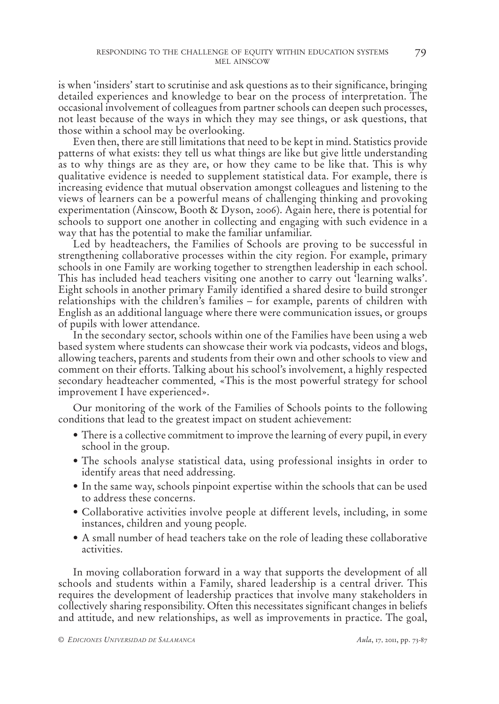is when 'insiders' start to scrutinise and ask questions as to their significance, bringing detailed experiences and knowledge to bear on the process of interpretation. The occasional involvement of colleagues from partner schools can deepen such processes, not least because of the ways in which they may see things, or ask questions, that those within a school may be overlooking.

Even then, there are still limitations that need to be kept in mind. Statistics provide patterns of what exists: they tell us what things are like but give little understanding as to why things are as they are, or how they came to be like that. This is why qualitative evidence is needed to supplement statistical data. For example, there is increasing evidence that mutual observation amongst colleagues and listening to the views of learners can be a powerful means of challenging thinking and provoking experimentation (Ainscow, Booth & Dyson, 2006). Again here, there is potential for schools to support one another in collecting and engaging with such evidence in a way that has the potential to make the familiar unfamiliar.

Led by headteachers, the Families of Schools are proving to be successful in strengthening collaborative processes within the city region. For example, primary schools in one Family are working together to strengthen leadership in each school. This has included head teachers visiting one another to carry out 'learning walks'. Eight schools in another primary Family identified a shared desire to build stronger relationships with the children's families – for example, parents of children with English as an additional language where there were communication issues, or groups of pupils with lower attendance.

In the secondary sector, schools within one of the Families have been using a web based system where students can showcase their work via podcasts, videos and blogs, allowing teachers, parents and students from their own and other schools to view and comment on their efforts. Talking about his school's involvement, a highly respected secondary headteacher commented*,* «This is the most powerful strategy for school improvement I have experienced».

Our monitoring of the work of the Families of Schools points to the following conditions that lead to the greatest impact on student achievement:

- There is a collective commitment to improve the learning of every pupil, in every school in the group.
- The schools analyse statistical data, using professional insights in order to identify areas that need addressing.
- In the same way, schools pinpoint expertise within the schools that can be used to address these concerns.
- Collaborative activities involve people at different levels, including, in some instances, children and young people.
- A small number of head teachers take on the role of leading these collaborative activities.

In moving collaboration forward in a way that supports the development of all schools and students within a Family, shared leadership is a central driver. This requires the development of leadership practices that involve many stakeholders in collectively sharing responsibility. Often this necessitates significant changes in beliefs and attitude, and new relationships, as well as improvements in practice. The goal,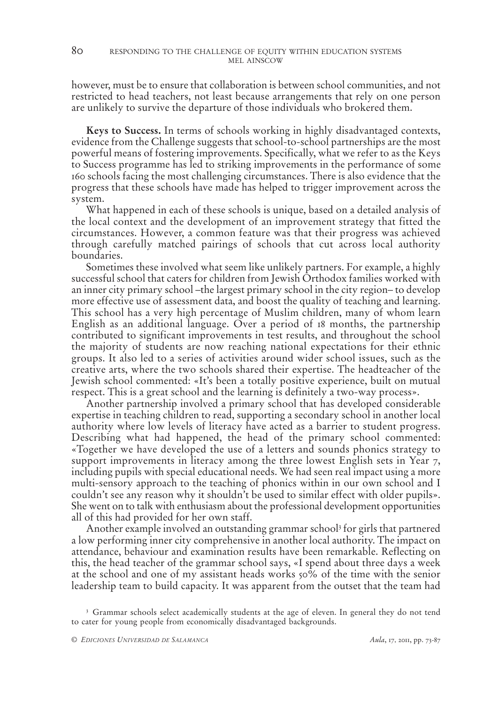however, must be to ensure that collaboration is between school communities, and not restricted to head teachers, not least because arrangements that rely on one person are unlikely to survive the departure of those individuals who brokered them.

**Keys to Success.** In terms of schools working in highly disadvantaged contexts, evidence from the Challenge suggests that school-to-school partnerships are the most powerful means of fostering improvements. Specifically, what we refer to as the Keys to Success programme has led to striking improvements in the performance of some 160 schools facing the most challenging circumstances. There is also evidence that the progress that these schools have made has helped to trigger improvement across the system.

What happened in each of these schools is unique, based on a detailed analysis of the local context and the development of an improvement strategy that fitted the circumstances. However, a common feature was that their progress was achieved through carefully matched pairings of schools that cut across local authority boundaries.

Sometimes these involved what seem like unlikely partners. For example, a highly successful school that caters for children from Jewish Orthodox families worked with an inner city primary school –the largest primary school in the city region– to develop more effective use of assessment data, and boost the quality of teaching and learning. This school has a very high percentage of Muslim children, many of whom learn English as an additional language. Over a period of 18 months, the partnership contributed to significant improvements in test results, and throughout the school the majority of students are now reaching national expectations for their ethnic groups. It also led to a series of activities around wider school issues, such as the creative arts, where the two schools shared their expertise. The headteacher of the Jewish school commented: «It's been a totally positive experience, built on mutual respect. This is a great school and the learning is definitely a two-way process».

Another partnership involved a primary school that has developed considerable expertise in teaching children to read, supporting a secondary school in another local authority where low levels of literacy have acted as a barrier to student progress. Describing what had happened, the head of the primary school commented: «Together we have developed the use of a letters and sounds phonics strategy to support improvements in literacy among the three lowest English sets in Year 7, including pupils with special educational needs. We had seen real impact using a more multi-sensory approach to the teaching of phonics within in our own school and I couldn't see any reason why it shouldn't be used to similar effect with older pupils». She went on to talk with enthusiasm about the professional development opportunities all of this had provided for her own staff.

Another example involved an outstanding grammar school<sup>3</sup> for girls that partnered a low performing inner city comprehensive in another local authority. The impact on attendance, behaviour and examination results have been remarkable. Reflecting on this, the head teacher of the grammar school says, «I spend about three days a week at the school and one of my assistant heads works 50% of the time with the senior leadership team to build capacity. It was apparent from the outset that the team had

<sup>&</sup>lt;sup>3</sup> Grammar schools select academically students at the age of eleven. In general they do not tend to cater for young people from economically disadvantaged backgrounds.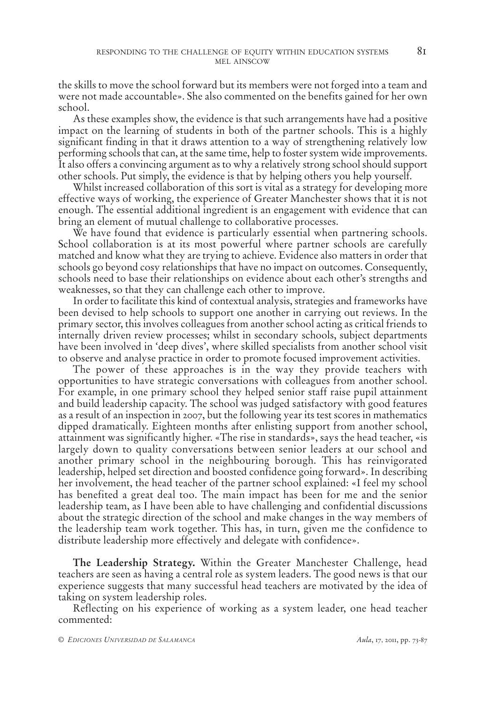the skills to move the school forward but its members were not forged into a team and were not made accountable». She also commented on the benefits gained for her own school.

As these examples show, the evidence is that such arrangements have had a positive impact on the learning of students in both of the partner schools. This is a highly significant finding in that it draws attention to a way of strengthening relatively low performing schools that can, at the same time, help to foster system wide improvements. It also offers a convincing argument as to why a relatively strong school should support other schools. Put simply, the evidence is that by helping others you help yourself.

Whilst increased collaboration of this sort is vital as a strategy for developing more effective ways of working, the experience of Greater Manchester shows that it is not enough. The essential additional ingredient is an engagement with evidence that can bring an element of mutual challenge to collaborative processes.

We have found that evidence is particularly essential when partnering schools. School collaboration is at its most powerful where partner schools are carefully matched and know what they are trying to achieve. Evidence also matters in order that schools go beyond cosy relationships that have no impact on outcomes. Consequently, schools need to base their relationships on evidence about each other's strengths and weaknesses, so that they can challenge each other to improve.

In order to facilitate this kind of contextual analysis, strategies and frameworks have been devised to help schools to support one another in carrying out reviews. In the primary sector, this involves colleagues from another school acting as critical friends to internally driven review processes; whilst in secondary schools, subject departments have been involved in 'deep dives', where skilled specialists from another school visit to observe and analyse practice in order to promote focused improvement activities.

The power of these approaches is in the way they provide teachers with opportunities to have strategic conversations with colleagues from another school. For example, in one primary school they helped senior staff raise pupil attainment and build leadership capacity. The school was judged satisfactory with good features as a result of an inspection in 2007, but the following year its test scores in mathematics dipped dramatically. Eighteen months after enlisting support from another school, attainment was significantly higher. «The rise in standards», says the head teacher, «is largely down to quality conversations between senior leaders at our school and another primary school in the neighbouring borough. This has reinvigorated leadership, helped set direction and boosted confidence going forward». In describing her involvement, the head teacher of the partner school explained: «I feel my school has benefited a great deal too. The main impact has been for me and the senior leadership team, as I have been able to have challenging and confidential discussions about the strategic direction of the school and make changes in the way members of the leadership team work together. This has, in turn, given me the confidence to distribute leadership more effectively and delegate with confidence».

**The Leadership Strategy.** Within the Greater Manchester Challenge, head teachers are seen as having a central role as system leaders. The good news is that our experience suggests that many successful head teachers are motivated by the idea of taking on system leadership roles.

Reflecting on his experience of working as a system leader, one head teacher commented: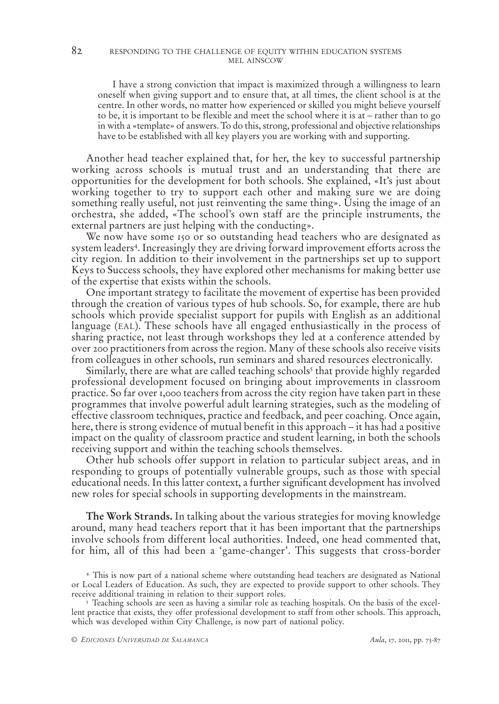#### 82 RESPONDING TO THE CHALLENGE OF EQUITY WITHIN EDUCATION SYSTEMS MEL AINSCOW

I have a strong conviction that impact is maximized through a willingness to learn oneself when giving support and to ensure that, at all times, the client school is at the centre. In other words, no matter how experienced or skilled you might believe yourself to be, it is important to be flexible and meet the school where it is at – rather than to go in with a «template» of answers. To do this, strong, professional and objective relationships have to be established with all key players you are working with and supporting.

Another head teacher explained that, for her, the key to successful partnership working across schools is mutual trust and an understanding that there are opportunities for the development for both schools. She explained, «It's just about working together to try to support each other and making sure we are doing something really useful, not just reinventing the same thing». Using the image of an orchestra, she added, «The school's own staff are the principle instruments, the external partners are just helping with the conducting».

We now have some 150 or so outstanding head teachers who are designated as system leaders<sup>4</sup> . Increasingly they are driving forward improvement efforts across the city region. In addition to their involvement in the partnerships set up to support Keys to Success schools, they have explored other mechanisms for making better use of the expertise that exists within the schools.

One important strategy to facilitate the movement of expertise has been provided through the creation of various types of hub schools. So, for example, there are hub schools which provide specialist support for pupils with English as an additional language (EAL). These schools have all engaged enthusiastically in the process of sharing practice, not least through workshops they led at a conference attended by over 200 practitioners from across the region. Many of these schools also receive visits from colleagues in other schools, run seminars and shared resources electronically.

Similarly, there are what are called teaching schools<sup>5</sup> that provide highly regarded professional development focused on bringing about improvements in classroom practice. So far over 1,000 teachers from across the city region have taken part in these programmes that involve powerful adult learning strategies, such as the modeling of effective classroom techniques, practice and feedback, and peer coaching. Once again, here, there is strong evidence of mutual benefit in this approach – it has had a positive impact on the quality of classroom practice and student learning, in both the schools receiving support and within the teaching schools themselves.

Other hub schools offer support in relation to particular subject areas, and in responding to groups of potentially vulnerable groups, such as those with special educational needs. In this latter context, a further significant development has involved new roles for special schools in supporting developments in the mainstream.

**The Work Strands.** In talking about the various strategies for moving knowledge around, many head teachers report that it has been important that the partnerships involve schools from different local authorities. Indeed, one head commented that, for him, all of this had been a 'game-changer'. This suggests that cross-border

<sup>4</sup> This is now part of a national scheme where outstanding head teachers are designated as National or Local Leaders of Education. As such, they are expected to provide support to other schools. They receive additional training in relation to their support roles.

<sup>5</sup> Teaching schools are seen as having a similar role as teaching hospitals. On the basis of the excellent practice that exists, they offer professional development to staff from other schools. This approach, which was developed within City Challenge, is now part of national policy.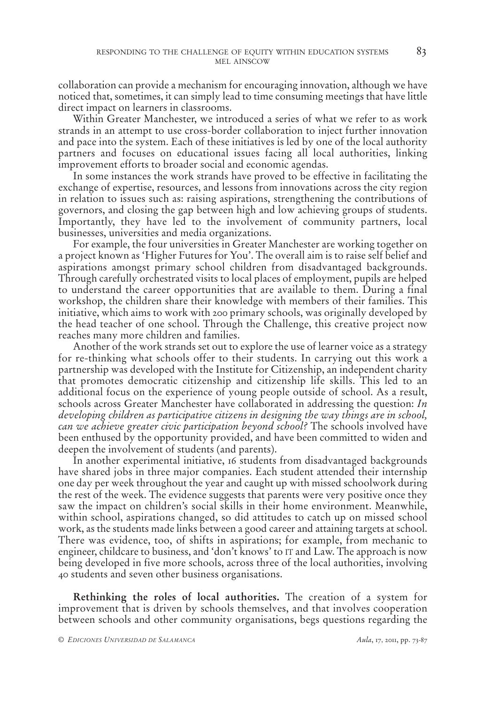collaboration can provide a mechanism for encouraging innovation, although we have noticed that, sometimes, it can simply lead to time consuming meetings that have little direct impact on learners in classrooms.

Within Greater Manchester, we introduced a series of what we refer to as work strands in an attempt to use cross-border collaboration to inject further innovation and pace into the system. Each of these initiatives is led by one of the local authority partners and focuses on educational issues facing all local authorities, linking improvement efforts to broader social and economic agendas.

In some instances the work strands have proved to be effective in facilitating the exchange of expertise, resources, and lessons from innovations across the city region in relation to issues such as: raising aspirations, strengthening the contributions of governors, and closing the gap between high and low achieving groups of students. Importantly, they have led to the involvement of community partners, local businesses, universities and media organizations.

For example, the four universities in Greater Manchester are working together on a project known as 'Higher Futures for You'. The overall aim is to raise self belief and aspirations amongst primary school children from disadvantaged backgrounds. Through carefully orchestrated visits to local places of employment, pupils are helped to understand the career opportunities that are available to them. During a final workshop, the children share their knowledge with members of their families. This initiative, which aims to work with 200 primary schools, was originally developed by the head teacher of one school. Through the Challenge, this creative project now reaches many more children and families.

Another of the work strands set out to explore the use of learner voice as a strategy for re-thinking what schools offer to their students. In carrying out this work a partnership was developed with the Institute for Citizenship, an independent charity that promotes democratic citizenship and citizenship life skills. This led to an additional focus on the experience of young people outside of school. As a result, schools across Greater Manchester have collaborated in addressing the question: *In developing children as participative citizens in designing the way things are in school, can we achieve greater civic participation beyond school?* The schools involved have been enthused by the opportunity provided, and have been committed to widen and deepen the involvement of students (and parents).

In another experimental initiative, 16 students from disadvantaged backgrounds have shared jobs in three major companies. Each student attended their internship one day per week throughout the year and caught up with missed schoolwork during the rest of the week. The evidence suggests that parents were very positive once they saw the impact on children's social skills in their home environment. Meanwhile, within school, aspirations changed, so did attitudes to catch up on missed school work, as the students made links between a good career and attaining targets at school. There was evidence, too, of shifts in aspirations; for example, from mechanic to engineer, childcare to business, and 'don't knows' to IT and Law. The approach is now being developed in five more schools, across three of the local authorities, involving 40 students and seven other business organisations.

**Rethinking the roles of local authorities.** The creation of a system for improvement that is driven by schools themselves, and that involves cooperation between schools and other community organisations, begs questions regarding the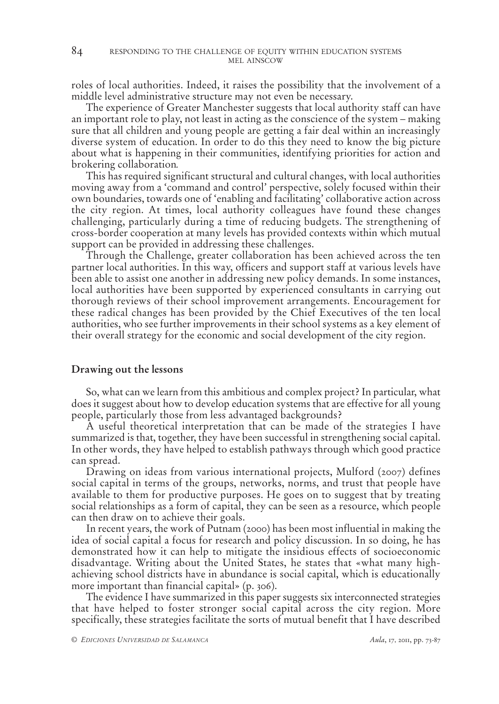roles of local authorities. Indeed, it raises the possibility that the involvement of a middle level administrative structure may not even be necessary.

The experience of Greater Manchester suggests that local authority staff can have an important role to play, not least in acting as the conscience of the system – making sure that all children and young people are getting a fair deal within an increasingly diverse system of education. In order to do this they need to know the big picture about what is happening in their communities, identifying priorities for action and brokering collaboration*.*

This has required significant structural and cultural changes, with local authorities moving away from a 'command and control' perspective, solely focused within their own boundaries, towards one of 'enabling and facilitating' collaborative action across the city region. At times, local authority colleagues have found these changes challenging, particularly during a time of reducing budgets. The strengthening of cross-border cooperation at many levels has provided contexts within which mutual support can be provided in addressing these challenges.

Through the Challenge, greater collaboration has been achieved across the ten partner local authorities. In this way, officers and support staff at various levels have been able to assist one another in addressing new policy demands. In some instances, local authorities have been supported by experienced consultants in carrying out thorough reviews of their school improvement arrangements. Encouragement for these radical changes has been provided by the Chief Executives of the ten local authorities, who see further improvements in their school systems as a key element of their overall strategy for the economic and social development of the city region.

#### **Drawing out the lessons**

So, what can we learn from this ambitious and complex project? In particular, what does it suggest about how to develop education systems that are effective for all young people, particularly those from less advantaged backgrounds?

A useful theoretical interpretation that can be made of the strategies I have summarized is that, together, they have been successful in strengthening social capital. In other words, they have helped to establish pathways through which good practice can spread.

Drawing on ideas from various international projects, Mulford (2007) defines social capital in terms of the groups, networks, norms, and trust that people have available to them for productive purposes. He goes on to suggest that by treating social relationships as a form of capital, they can be seen as a resource, which people can then draw on to achieve their goals.

In recent years, the work of Putnam (2000) has been most influential in making the idea of social capital a focus for research and policy discussion. In so doing, he has demonstrated how it can help to mitigate the insidious effects of socioeconomic disadvantage. Writing about the United States, he states that «what many highachieving school districts have in abundance is social capital, which is educationally more important than financial capital» (p. 306).

The evidence I have summarized in this paper suggests six interconnected strategies that have helped to foster stronger social capital across the city region. More specifically, these strategies facilitate the sorts of mutual benefit that I have described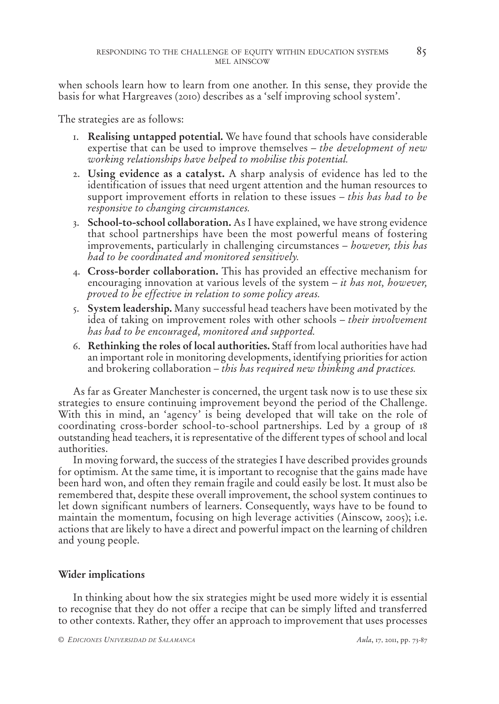when schools learn how to learn from one another. In this sense, they provide the basis for what Hargreaves (2010) describes as a 'self improving school system'.

The strategies are as follows:

- 1. **Realising untapped potential.** We have found that schools have considerable expertise that can be used to improve themselves – *the development of new working relationships have helped to mobilise this potential.*
- 2. **Using evidence as a catalyst.** A sharp analysis of evidence has led to the identification of issues that need urgent attention and the human resources to support improvement efforts in relation to these issues – *this has had to be responsive to changing circumstances.*
- 3. **School-to-school collaboration.** As I have explained, we have strong evidence that school partnerships have been the most powerful means of fostering improvements, particularly in challenging circumstances – *however, this has had to be coordinated and monitored sensitively.*
- 4. **Cross-border collaboration.** This has provided an effective mechanism for encouraging innovation at various levels of the system – *it has not, however, proved to be effective in relation to some policy areas.*
- 5. **System leadership.** Many successful head teachers have been motivated by the idea of taking on improvement roles with other schools – *their involvement has had to be encouraged, monitored and supported.*
- 6. **Rethinking the roles of local authorities.** Staff from local authorities have had an important role in monitoring developments, identifying priorities for action and brokering collaboration – *this has required new thinking and practices.*

As far as Greater Manchester is concerned, the urgent task now is to use these six strategies to ensure continuing improvement beyond the period of the Challenge. With this in mind, an 'agency' is being developed that will take on the role of coordinating cross-border school-to-school partnerships. Led by a group of 18 outstanding head teachers, it is representative of the different types of school and local authorities.

In moving forward, the success of the strategies I have described provides grounds for optimism. At the same time, it is important to recognise that the gains made have been hard won, and often they remain fragile and could easily be lost. It must also be remembered that, despite these overall improvement, the school system continues to let down significant numbers of learners. Consequently, ways have to be found to maintain the momentum, focusing on high leverage activities (Ainscow, 2005); i.e. actions that are likely to have a direct and powerful impact on the learning of children and young people.

## **Wider implications**

In thinking about how the six strategies might be used more widely it is essential to recognise that they do not offer a recipe that can be simply lifted and transferred to other contexts. Rather, they offer an approach to improvement that uses processes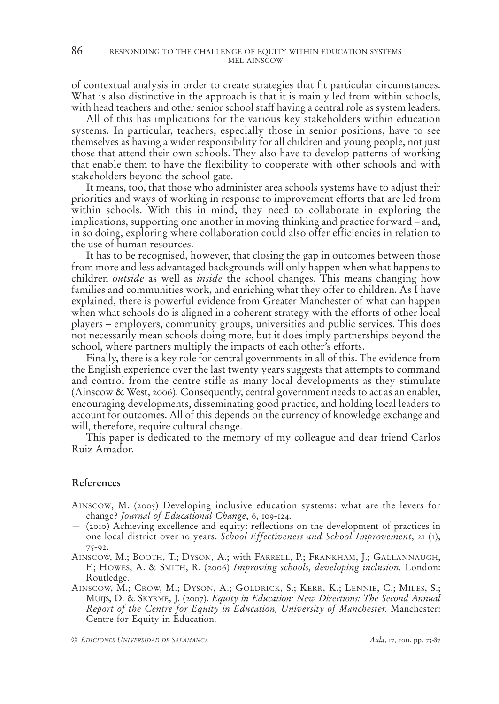of contextual analysis in order to create strategies that fit particular circumstances. What is also distinctive in the approach is that it is mainly led from within schools, with head teachers and other senior school staff having a central role as system leaders.

All of this has implications for the various key stakeholders within education systems. In particular, teachers, especially those in senior positions, have to see themselves as having a wider responsibility for all children and young people, not just those that attend their own schools. They also have to develop patterns of working that enable them to have the flexibility to cooperate with other schools and with stakeholders beyond the school gate.

It means, too, that those who administer area schools systems have to adjust their priorities and ways of working in response to improvement efforts that are led from within schools. With this in mind, they need to collaborate in exploring the implications, supporting one another in moving thinking and practice forward – and, in so doing, exploring where collaboration could also offer efficiencies in relation to the use of human resources.

It has to be recognised, however, that closing the gap in outcomes between those from more and less advantaged backgrounds will only happen when what happens to children *outside* as well as *inside* the school changes. This means changing how families and communities work, and enriching what they offer to children. As I have explained, there is powerful evidence from Greater Manchester of what can happen when what schools do is aligned in a coherent strategy with the efforts of other local players – employers, community groups, universities and public services. This does not necessarily mean schools doing more, but it does imply partnerships beyond the school, where partners multiply the impacts of each other's efforts.

Finally, there is a key role for central governments in all of this. The evidence from the English experience over the last twenty years suggests that attempts to command and control from the centre stifle as many local developments as they stimulate (Ainscow & West, 2006). Consequently, central government needs to act as an enabler, encouraging developments, disseminating good practice, and holding local leaders to account for outcomes. All of this depends on the currency of knowledge exchange and will, therefore, require cultural change.

This paper is dedicated to the memory of my colleague and dear friend Carlos Ruiz Amador.

### **References**

- AINSCOW, M. (2005) Developing inclusive education systems: what are the levers for change? *Journal of Educational Change*, 6, 109-124.
- (2010) Achieving excellence and equity: reflections on the development of practices in one local district over 10 years. *School Effectiveness and School Improvement*, 21 (1), 75-92.
- AINSCOW, M.; BOOTH, T.; DYSON, A.; with FARRELL, P.; FRANKHAM, J.; GALLANNAUGH, F.; HOWES, A. & SMITH, R. (2006) *Improving schools, developing inclusion.* London: Routledge.
- AINSCOW, M.; CROW, M.; DYSON, A.; GOLDRICK, S.; KERR, K.; LENNIE, C.; MILES, S.; MUIJS, D. & SKYRME, J. (2007). *Equity in Education: New Directions: The Second Annual Report of the Centre for Equity in Education, University of Manchester.* Manchester: Centre for Equity in Education.

*© EDICIONES UNIVERSIDAD DE SALAMANCA Aula*, 17, 2011, pp. 73-87